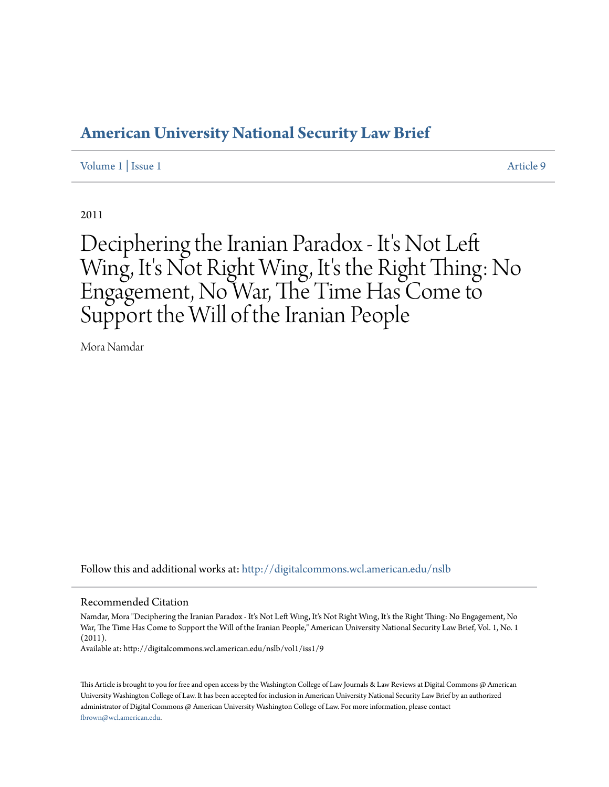### **[American University National Security Law Brief](http://digitalcommons.wcl.american.edu/nslb?utm_source=digitalcommons.wcl.american.edu%2Fnslb%2Fvol1%2Fiss1%2F9&utm_medium=PDF&utm_campaign=PDFCoverPages)**

#### [Volume 1](http://digitalcommons.wcl.american.edu/nslb/vol1?utm_source=digitalcommons.wcl.american.edu%2Fnslb%2Fvol1%2Fiss1%2F9&utm_medium=PDF&utm_campaign=PDFCoverPages) | [Issue 1](http://digitalcommons.wcl.american.edu/nslb/vol1/iss1?utm_source=digitalcommons.wcl.american.edu%2Fnslb%2Fvol1%2Fiss1%2F9&utm_medium=PDF&utm_campaign=PDFCoverPages) [Article 9](http://digitalcommons.wcl.american.edu/nslb/vol1/iss1/9?utm_source=digitalcommons.wcl.american.edu%2Fnslb%2Fvol1%2Fiss1%2F9&utm_medium=PDF&utm_campaign=PDFCoverPages)

2011

# Deciphering the Iranian Paradox - It's Not Left Wing, It's Not Right Wing, It's the Right Thing: No Engagement, No War, The Time Has Come to Support the Will of the Iranian People

Mora Namdar

Follow this and additional works at: [http://digitalcommons.wcl.american.edu/nslb](http://digitalcommons.wcl.american.edu/nslb?utm_source=digitalcommons.wcl.american.edu%2Fnslb%2Fvol1%2Fiss1%2F9&utm_medium=PDF&utm_campaign=PDFCoverPages)

#### Recommended Citation

Namdar, Mora "Deciphering the Iranian Paradox - It's Not Left Wing, It's Not Right Wing, It's the Right Thing: No Engagement, No War, The Time Has Come to Support the Will of the Iranian People," American University National Security Law Brief, Vol. 1, No. 1 (2011).

Available at: http://digitalcommons.wcl.american.edu/nslb/vol1/iss1/9

This Article is brought to you for free and open access by the Washington College of Law Journals & Law Reviews at Digital Commons @ American University Washington College of Law. It has been accepted for inclusion in American University National Security Law Brief by an authorized administrator of Digital Commons @ American University Washington College of Law. For more information, please contact [fbrown@wcl.american.edu](mailto:fbrown@wcl.american.edu).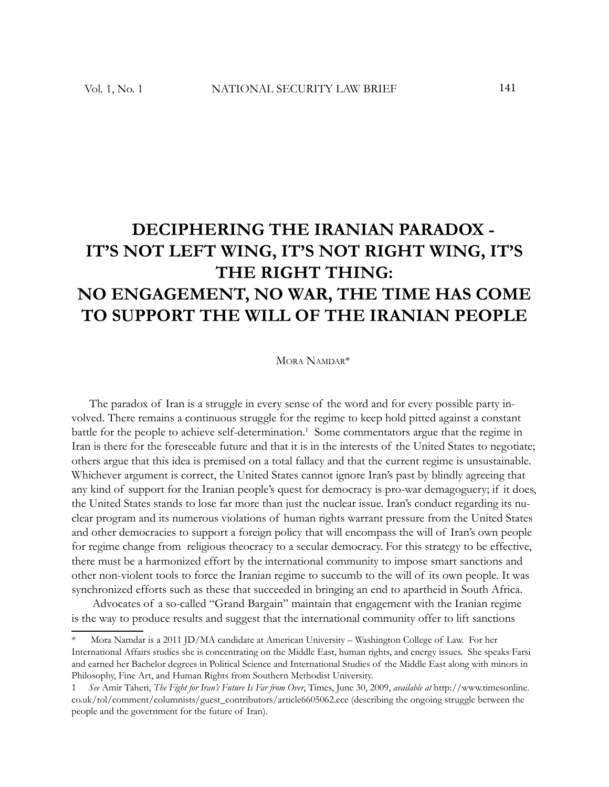## **DECIPHERING THE IRANIAN PARADOX - IT'S NOT LEFT WING, IT'S NOT RIGHT WING, IT'S THE RIGHT THING: NO ENGAGEMENT, NO WAR, THE TIME HAS COME TO SUPPORT THE WILL OF THE IRANIAN PEOPLE**

#### MORA NAMDAR<sup>\*</sup>

The paradox of Iran is a struggle in every sense of the word and for every possible party involved. There remains a continuous struggle for the regime to keep hold pitted against a constant battle for the people to achieve self-determination.<sup>1</sup> Some commentators argue that the regime in Iran is there for the foreseeable future and that it is in the interests of the United States to negotiate; others argue that this idea is premised on a total fallacy and that the current regime is unsustainable. Whichever argument is correct, the United States cannot ignore Iran's past by blindly agreeing that any kind of support for the Iranian people's quest for democracy is pro-war demagoguery; if it does, the United States stands to lose far more than just the nuclear issue. Iran's conduct regarding its nuclear program and its numerous violations of human rights warrant pressure from the United States and other democracies to support a foreign policy that will encompass the will of Iran's own people for regime change from religious theocracy to a secular democracy. For this strategy to be effective, there must be a harmonized effort by the international community to impose smart sanctions and other non-violent tools to force the Iranian regime to succumb to the will of its own people. It was synchronized efforts such as these that succeeded in bringing an end to apartheid in South Africa.

 Advocates of a so-called "Grand Bargain" maintain that engagement with the Iranian regime is the way to produce results and suggest that the international community offer to lift sanctions

Mora Namdar is a 2011 JD/MA candidate at American University – Washington College of Law. For her International Affairs studies she is concentrating on the Middle East, human rights, and energy issues. She speaks Farsi and earned her Bachelor degrees in Political Science and International Studies of the Middle East along with minors in Philosophy, Fine Art, and Human Rights from Southern Methodist University.

<sup>1</sup> *See* Amir Taheri, *The Fight for Iran's Future Is Far from Over*, Times, June 30, 2009, *available at* http://www.timesonline. co.uk/tol/comment/columnists/guest\_contributors/article6605062.ece (describing the ongoing struggle between the people and the government for the future of Iran).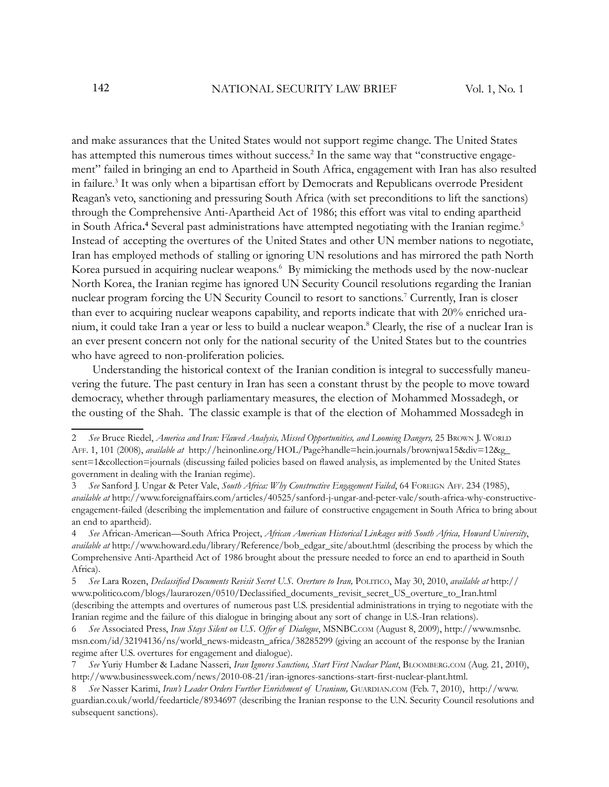and make assurances that the United States would not support regime change. The United States has attempted this numerous times without success.<sup>2</sup> In the same way that "constructive engagement" failed in bringing an end to Apartheid in South Africa, engagement with Iran has also resulted in failure.<sup>3</sup> It was only when a bipartisan effort by Democrats and Republicans overrode President Reagan's veto, sanctioning and pressuring South Africa (with set preconditions to lift the sanctions) through the Comprehensive Anti-Apartheid Act of 1986; this effort was vital to ending apartheid in South Africa.<sup>4</sup> Several past administrations have attempted negotiating with the Iranian regime.<sup>5</sup> Instead of accepting the overtures of the United States and other UN member nations to negotiate, Iran has employed methods of stalling or ignoring UN resolutions and has mirrored the path North Korea pursued in acquiring nuclear weapons.<sup>6</sup> By mimicking the methods used by the now-nuclear North Korea, the Iranian regime has ignored UN Security Council resolutions regarding the Iranian nuclear program forcing the UN Security Council to resort to sanctions.<sup>7</sup> Currently, Iran is closer than ever to acquiring nuclear weapons capability, and reports indicate that with 20% enriched uranium, it could take Iran a year or less to build a nuclear weapon.<sup>8</sup> Clearly, the rise of a nuclear Iran is an ever present concern not only for the national security of the United States but to the countries who have agreed to non-proliferation policies.

 Understanding the historical context of the Iranian condition is integral to successfully maneuvering the future. The past century in Iran has seen a constant thrust by the people to move toward democracy, whether through parliamentary measures, the election of Mohammed Mossadegh, or the ousting of the Shah. The classic example is that of the election of Mohammed Mossadegh in

<sup>2</sup> *See* Bruce Riedel, *America and Iran: Flawed Analysis, Missed Opportunities, and Looming Dangers,* 25 BROWN J. WORLD AFF. 1, 101 (2008), *available at* http://heinonline.org/HOL/Page?handle=hein.journals/brownjwa15&div=12&g\_ sent=1&collection=journals (discussing failed policies based on flawed analysis, as implemented by the United States government in dealing with the Iranian regime).

<sup>3</sup> *See* Sanford J. Ungar & Peter Vale, *South Africa: Why Constructive Engagement Failed*, 64 FOREIGN AFF. 234 (1985), *available at* http://www.foreignaffairs.com/articles/40525/sanford-j-ungar-and-peter-vale/south-africa-why-constructiveengagement-failed (describing the implementation and failure of constructive engagement in South Africa to bring about an end to apartheid).

<sup>4</sup> *See* African-American—South Africa Project, *African American Historical Linkages with South Africa, Howard University*, *available at* http://www.howard.edu/library/Reference/bob\_edgar\_site/about.html (describing the process by which the Comprehensive Anti-Apartheid Act of 1986 brought about the pressure needed to force an end to apartheid in South Africa).

<sup>5</sup> See Lara Rozen, *Declassified Documents Revisit Secret U.S. Overture to Iran, POLITICO, May 30, 2010, <i>available at* http:// www.politico.com/blogs/laurarozen/0510/Declassified\_documents\_revisit\_secret\_US\_overture\_to\_Iran.html (describing the attempts and overtures of numerous past U.S. presidential administrations in trying to negotiate with the Iranian regime and the failure of this dialogue in bringing about any sort of change in U.S.-Iran relations).

<sup>6</sup> *See* Associated Press, *Iran Stays Silent on U.S. Offer of Dialogue*, MSNBC.COM (August 8, 2009), http://www.msnbc. msn.com/id/32194136/ns/world\_news-mideastn\_africa/38285299 (giving an account of the response by the Iranian regime after U.S. overtures for engagement and dialogue).

<sup>7</sup> *See* Yuriy Humber & Ladane Nasseri, *Iran Ignores Sanctions, Start First Nuclear Plant*, BLOOMBERG.COM (Aug. 21, 2010), http://www.businessweek.com/news/2010-08-21/iran-ignores-sanctions-start-first-nuclear-plant.html.

<sup>8</sup> *See* Nasser Karimi, *Iran's Leader Orders Further Enrichment of Uranium,* GUARDIAN.COM (Feb. 7, 2010), http://www. guardian.co.uk/world/feedarticle/8934697 (describing the Iranian response to the U.N. Security Council resolutions and subsequent sanctions).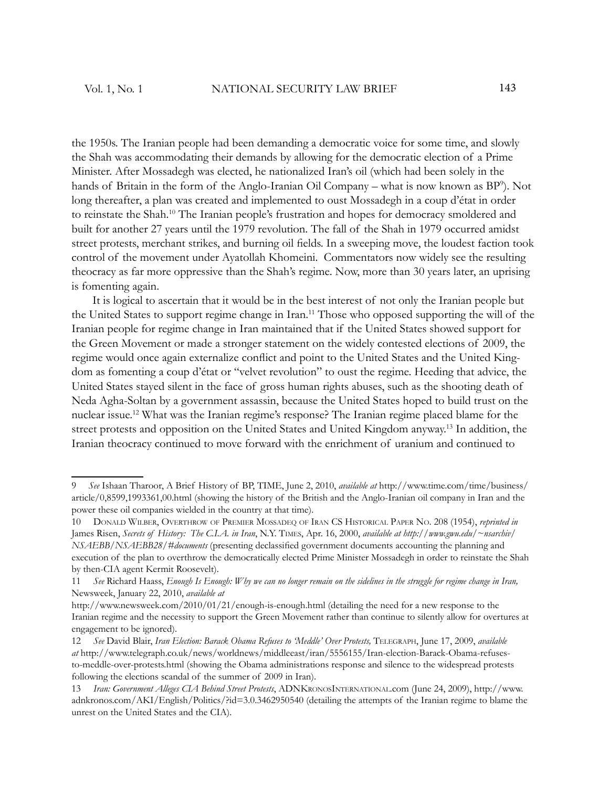the 1950s. The Iranian people had been demanding a democratic voice for some time, and slowly the Shah was accommodating their demands by allowing for the democratic election of a Prime Minister. After Mossadegh was elected, he nationalized Iran's oil (which had been solely in the hands of Britain in the form of the Anglo-Iranian Oil Company – what is now known as BP<sup>9</sup>). Not long thereafter, a plan was created and implemented to oust Mossadegh in a coup d'état in order to reinstate the Shah.<sup>10</sup> The Iranian people's frustration and hopes for democracy smoldered and built for another 27 years until the 1979 revolution. The fall of the Shah in 1979 occurred amidst street protests, merchant strikes, and burning oil fields. In a sweeping move, the loudest faction took control of the movement under Ayatollah Khomeini. Commentators now widely see the resulting theocracy as far more oppressive than the Shah's regime. Now, more than 30 years later, an uprising is fomenting again.

 It is logical to ascertain that it would be in the best interest of not only the Iranian people but the United States to support regime change in Iran.<sup>11</sup> Those who opposed supporting the will of the Iranian people for regime change in Iran maintained that if the United States showed support for the Green Movement or made a stronger statement on the widely contested elections of 2009, the regime would once again externalize conflict and point to the United States and the United Kingdom as fomenting a coup d'état or "velvet revolution" to oust the regime. Heeding that advice, the United States stayed silent in the face of gross human rights abuses, such as the shooting death of Neda Agha-Soltan by a government assassin, because the United States hoped to build trust on the nuclear issue.<sup>12</sup> What was the Iranian regime's response? The Iranian regime placed blame for the street protests and opposition on the United States and United Kingdom anyway.<sup>13</sup> In addition, the Iranian theocracy continued to move forward with the enrichment of uranium and continued to

<sup>9</sup> *See* Ishaan Tharoor, A Brief History of BP, TIME, June 2, 2010, *available at* http://www.time.com/time/business/ article/0,8599,1993361,00.html (showing the history of the British and the Anglo-Iranian oil company in Iran and the power these oil companies wielded in the country at that time).

<sup>10</sup> DONALD WILBER, OVERTHROW OF PREMIER MOSSADEQ OF IRAN CS HISTORICAL PAPER NO. 208 (1954), *reprinted in*  James Risen, *Secrets of History: The C.I.A. in Iran*, N.Y. TIMES, Apr. 16, 2000, *available at http://www.gwu.edu/~nsarchiv/ NSAEBB/NSAEBB28/#documents* (presenting declassified government documents accounting the planning and execution of the plan to overthrow the democratically elected Prime Minister Mossadegh in order to reinstate the Shah by then-CIA agent Kermit Roosevelt).

<sup>11</sup> *See* Richard Haass, *Enough Is Enough: Why we can no longer remain on the sidelines in the struggle for regime change in Iran,*  Newsweek, January 22, 2010, *available at*

http://www.newsweek.com/2010/01/21/enough-is-enough.html (detailing the need for a new response to the Iranian regime and the necessity to support the Green Movement rather than continue to silently allow for overtures at engagement to be ignored).

<sup>12</sup> *See* David Blair, *Iran Election: Barack Obama Refuses to 'Meddle' Over Protests,* TELEGRAPH, June 17, 2009, *available at* http://www.telegraph.co.uk/news/worldnews/middleeast/iran/5556155/Iran-election-Barack-Obama-refusesto-meddle-over-protests.html (showing the Obama administrations response and silence to the widespread protests following the elections scandal of the summer of 2009 in Iran).

<sup>13</sup> *Iran: Government Alleges CIA Behind Street Protests*, ADNKRONOSINTERNATIONAL.com (June 24, 2009), http://www. adnkronos.com/AKI/English/Politics/?id=3.0.3462950540 (detailing the attempts of the Iranian regime to blame the unrest on the United States and the CIA).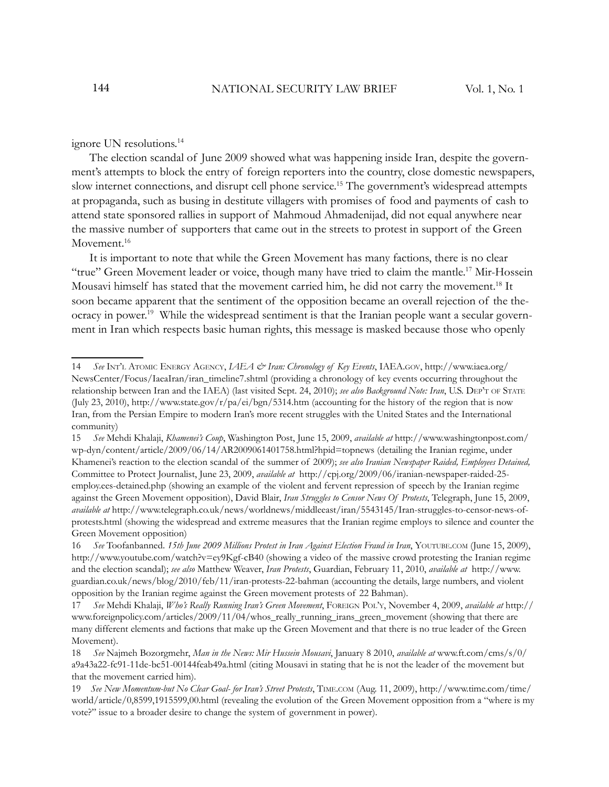#### ignore UN resolutions.<sup>14</sup>

The election scandal of June 2009 showed what was happening inside Iran, despite the government's attempts to block the entry of foreign reporters into the country, close domestic newspapers, slow internet connections, and disrupt cell phone service.<sup>15</sup> The government's widespread attempts at propaganda, such as busing in destitute villagers with promises of food and payments of cash to attend state sponsored rallies in support of Mahmoud Ahmadenijad, did not equal anywhere near the massive number of supporters that came out in the streets to protest in support of the Green Movement.<sup>16</sup>

It is important to note that while the Green Movement has many factions, there is no clear "true" Green Movement leader or voice, though many have tried to claim the mantle.<sup>17</sup> Mir-Hossein Mousavi himself has stated that the movement carried him, he did not carry the movement.<sup>18</sup> It soon became apparent that the sentiment of the opposition became an overall rejection of the theocracy in power.<sup>19</sup> While the widespread sentiment is that the Iranian people want a secular government in Iran which respects basic human rights, this message is masked because those who openly

<sup>14</sup> *See* INT'L ATOMIC ENERGY AGENCY, *IAEA & Iran: Chronology of Key Events*, IAEA.GOV, http://www.iaea.org/ NewsCenter/Focus/IaeaIran/iran\_timeline7.shtml (providing a chronology of key events occurring throughout the relationship between Iran and the IAEA) (last visited Sept. 24, 2010); *see also Background Note: Iran*, U.S. DEP'<sup>T</sup> OF STATE (July 23, 2010), http://www.state.gov/r/pa/ei/bgn/5314.htm (accounting for the history of the region that is now Iran, from the Persian Empire to modern Iran's more recent struggles with the United States and the International community)

<sup>15</sup> *See* Mehdi Khalaji, *Khamenei's Coup*, Washington Post, June 15, 2009, *available at* http://www.washingtonpost.com/ wp-dyn/content/article/2009/06/14/AR2009061401758.html?hpid=topnews (detailing the Iranian regime, under Khamenei's reaction to the election scandal of the summer of 2009); *see also Iranian Newspaper Raided, Employees Detained,* Committee to Protect Journalist, June 23, 2009, *available at* http://cpj.org/2009/06/iranian-newspaper-raided-25 employ.ees-detained.php (showing an example of the violent and fervent repression of speech by the Iranian regime against the Green Movement opposition), David Blair, *Iran Struggles to Censor News Of Protests*, Telegraph, June 15, 2009, *available at* http://www.telegraph.co.uk/news/worldnews/middleeast/iran/5543145/Iran-struggles-to-censor-news-ofprotests.html (showing the widespread and extreme measures that the Iranian regime employs to silence and counter the Green Movement opposition)

<sup>16</sup> *See* Toofanbanned. *15th June 2009 Millions Protest in Iran Against Election Fraud in Iran*, YOUTUBE.COM (June 15, 2009), http://www.youtube.com/watch?v=ey9Kgf-cB40 (showing a video of the massive crowd protesting the Iranian regime and the election scandal); *see also* Matthew Weaver, *Iran Protests*, Guardian, February 11, 2010, *available at* http://www. guardian.co.uk/news/blog/2010/feb/11/iran-protests-22-bahman (accounting the details, large numbers, and violent opposition by the Iranian regime against the Green movement protests of 22 Bahman).

<sup>17</sup> *See* Mehdi Khalaji, *Who's Really Running Iran's Green Movement*, FOREIGN POL'Y, November 4, 2009, *available at* http:// www.foreignpolicy.com/articles/2009/11/04/whos\_really\_running\_irans\_green\_movement (showing that there are many different elements and factions that make up the Green Movement and that there is no true leader of the Green Movement).

<sup>18</sup> *See* Najmeh Bozorgmehr, *Man in the News: Mir Hussein Mousavi*, January 8 2010, *available at* www.ft.com/cms/s/0/ a9a43a22-fc91-11de- bc51-00144feab49a.html (citing Mousavi in stating that he is not the leader of the movement but that the movement carried him).

<sup>19</sup> *See New Momentum-but No Clear Goal- for Iran's Street Protests*, TIME.COM (Aug. 11, 2009), http://www.time.com/time/ world/article/0,8599,1915599,00.html (revealing the evolution of the Green Movement opposition from a "where is my vote?" issue to a broader desire to change the system of government in power).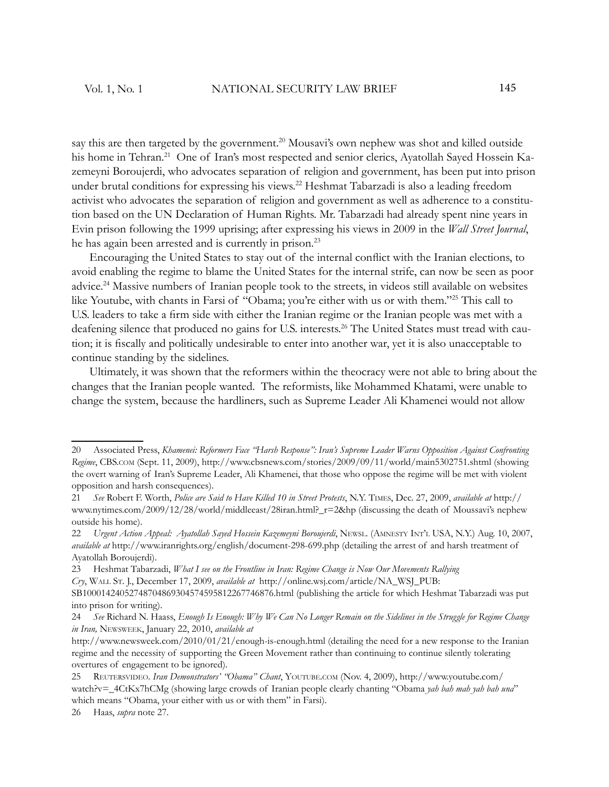say this are then targeted by the government.<sup>20</sup> Mousavi's own nephew was shot and killed outside his home in Tehran.<sup>21</sup> One of Iran's most respected and senior clerics, Ayatollah Sayed Hossein Kazemeyni Boroujerdi, who advocates separation of religion and government, has been put into prison under brutal conditions for expressing his views.<sup>22</sup> Heshmat Tabarzadi is also a leading freedom activist who advocates the separation of religion and government as well as adherence to a constitution based on the UN Declaration of Human Rights. Mr. Tabarzadi had already spent nine years in Evin prison following the 1999 uprising; after expressing his views in 2009 in the *Wall Street Journal*, he has again been arrested and is currently in prison.<sup>23</sup>

Encouraging the United States to stay out of the internal conflict with the Iranian elections, to avoid enabling the regime to blame the United States for the internal strife, can now be seen as poor advice.<sup>24</sup> Massive numbers of Iranian people took to the streets, in videos still available on websites like Youtube, with chants in Farsi of "Obama; you're either with us or with them."<sup>25</sup> This call to U.S. leaders to take a firm side with either the Iranian regime or the Iranian people was met with a deafening silence that produced no gains for U.S. interests.<sup>26</sup> The United States must tread with caution; it is fiscally and politically undesirable to enter into another war, yet it is also unacceptable to continue standing by the sidelines.

Ultimately, it was shown that the reformers within the theocracy were not able to bring about the changes that the Iranian people wanted. The reformists, like Mohammed Khatami, were unable to change the system, because the hardliners, such as Supreme Leader Ali Khamenei would not allow

<sup>20</sup> Associated Press, *Khamenei: Reformers Face "Harsh Response": Iran's Supreme Leader Warns Opposition Against Confronting Regime*, CBS.COM (Sept. 11, 2009), http://www.cbsnews.com/stories/2009/09/11/world/main5302751.shtml (showing the overt warning of Iran's Supreme Leader, Ali Khamenei, that those who oppose the regime will be met with violent opposition and harsh consequences).

<sup>21</sup> *See* Robert F. Worth, *Police are Said to Have Killed 10 in Street Protests*, N.Y. TIMES, Dec. 27, 2009, *available at* http:// www.nytimes.com/2009/12/28/world/middleeast/28iran.html?\_r=2&hp (discussing the death of Moussavi's nephew outside his home).

<sup>22</sup> *Urgent Action Appeal: Ayatollah Sayed Hossein Kazemeyni Boroujerdi*, NEWSL. (AMNESTY INT'L USA, N.Y.) Aug. 10, 2007, *available at* http://www.iranrights.org/english/document-298-699.php (detailing the arrest of and harsh treatment of Ayatollah Boroujerdi).

<sup>23</sup> Heshmat Tabarzadi, *What I see on the Frontline in Iran: Regime Change is Now Our Movements Rallying Cry*, WALL ST. J., December 17, 2009, *available at* http://online.wsj.com/article/NA\_WSJ\_PUB:

SB10001424052748704869304574595812267746876.html (publishing the article for which Heshmat Tabarzadi was put into prison for writing).

<sup>24</sup> *See* Richard N. Haass, *Enough Is Enough: Why We Can No Longer Remain on the Sidelines in the Struggle for Regime Change in Iran,* NEWSWEEK, January 22, 2010, *available at*

http://www.newsweek.com/2010/01/21/enough-is-enough.html (detailing the need for a new response to the Iranian regime and the necessity of supporting the Green Movement rather than continuing to continue silently tolerating overtures of engagement to be ignored).

<sup>25</sup> REUTERSVIDEO. *Iran Demonstrators' "Obama" Chant*, YOUTUBE.COM (Nov. 4, 2009), http://www.youtube.com/ watch?v=\_4CtKx7hCMg (showing large crowds of Iranian people clearly chanting "Obama *yah bah mah yah bah una*" which means "Obama, your either with us or with them" in Farsi).

<sup>26</sup> Haas, *supra* note 27.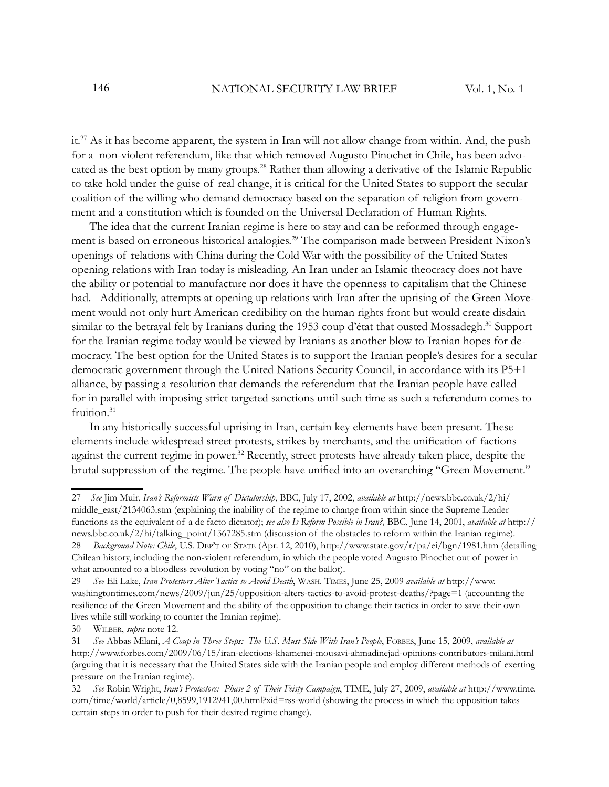it.<sup>27</sup> As it has become apparent, the system in Iran will not allow change from within. And, the push for a non-violent referendum, like that which removed Augusto Pinochet in Chile, has been advocated as the best option by many groups.<sup>28</sup> Rather than allowing a derivative of the Islamic Republic to take hold under the guise of real change, it is critical for the United States to support the secular coalition of the willing who demand democracy based on the separation of religion from government and a constitution which is founded on the Universal Declaration of Human Rights.

The idea that the current Iranian regime is here to stay and can be reformed through engagement is based on erroneous historical analogies.<sup>29</sup> The comparison made between President Nixon's openings of relations with China during the Cold War with the possibility of the United States opening relations with Iran today is misleading. An Iran under an Islamic theocracy does not have the ability or potential to manufacture nor does it have the openness to capitalism that the Chinese had. Additionally, attempts at opening up relations with Iran after the uprising of the Green Movement would not only hurt American credibility on the human rights front but would create disdain similar to the betrayal felt by Iranians during the 1953 coup d'état that ousted Mossadegh.<sup>30</sup> Support for the Iranian regime today would be viewed by Iranians as another blow to Iranian hopes for democracy. The best option for the United States is to support the Iranian people's desires for a secular democratic government through the United Nations Security Council, in accordance with its P5+1 alliance, by passing a resolution that demands the referendum that the Iranian people have called for in parallel with imposing strict targeted sanctions until such time as such a referendum comes to fruition.<sup>31</sup>

In any historically successful uprising in Iran, certain key elements have been present. These elements include widespread street protests, strikes by merchants, and the unification of factions against the current regime in power.<sup>32</sup> Recently, street protests have already taken place, despite the brutal suppression of the regime. The people have unified into an overarching "Green Movement."

<sup>27</sup> *See* Jim Muir, *Iran's Reformists Warn of Dictatorship*, BBC, July 17, 2002, *available at* http://news.bbc.co.uk/2/hi/ middle\_east/2134063.stm (explaining the inability of the regime to change from within since the Supreme Leader functions as the equivalent of a de facto dictator); *see also Is Reform Possible in Iran?,* BBC, June 14, 2001, *available at* http:// news.bbc.co.uk/2/hi/talking\_point/1367285.stm (discussion of the obstacles to reform within the Iranian regime). 28 *Background Note: Chile*, U.S. DEP'<sup>T</sup> OF STATE (Apr. 12, 2010), http://www.state.gov/r/pa/ei/bgn/1981.htm (detailing Chilean history, including the non-violent referendum, in which the people voted Augusto Pinochet out of power in what amounted to a bloodless revolution by voting "no" on the ballot).

<sup>29</sup> *See* Eli Lake, *Iran Protestors Alter Tactics to Avoid Death*, WASH. TIMES, June 25, 2009 *available at* http://www. washingtontimes.com/news/2009/jun/25/opposition-alters-tactics-to-avoid-protest-deaths/?page=1 (accounting the resilience of the Green Movement and the ability of the opposition to change their tactics in order to save their own lives while still working to counter the Iranian regime).

<sup>30</sup> WILBER, *supra* note 12.

<sup>31</sup> *See* Abbas Milani, *A Coup in Three Steps: The U.S. Must Side With Iran's People*, FORBES, June 15, 2009, *available at* http://www.forbes.com/2009/06/15/iran-elections-khamenei-mousavi-ahmadinejad-opinions-contributors-milani.html (arguing that it is necessary that the United States side with the Iranian people and employ different methods of exerting pressure on the Iranian regime).

<sup>32</sup> *See* Robin Wright, *Iran's Protestors: Phase 2 of Their Feisty Campaign*, TIME, July 27, 2009, *available at* http://www.time. com/time/world/article/0,8599,1912941,00.html?xid=rss-world (showing the process in which the opposition takes certain steps in order to push for their desired regime change).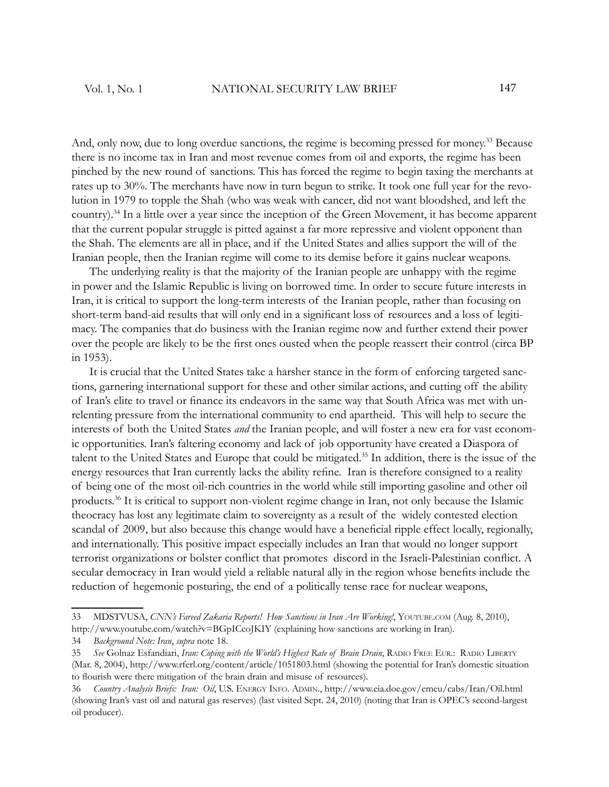And, only now, due to long overdue sanctions, the regime is becoming pressed for money.<sup>33</sup> Because there is no income tax in Iran and most revenue comes from oil and exports, the regime has been pinched by the new round of sanctions. This has forced the regime to begin taxing the merchants at rates up to 30%. The merchants have now in turn begun to strike. It took one full year for the revolution in 1979 to topple the Shah (who was weak with cancer, did not want bloodshed, and left the country).<sup>34</sup> In a little over a year since the inception of the Green Movement, it has become apparent that the current popular struggle is pitted against a far more repressive and violent opponent than the Shah. The elements are all in place, and if the United States and allies support the will of the Iranian people, then the Iranian regime will come to its demise before it gains nuclear weapons.

The underlying reality is that the majority of the Iranian people are unhappy with the regime in power and the Islamic Republic is living on borrowed time. In order to secure future interests in Iran, it is critical to support the long-term interests of the Iranian people, rather than focusing on short-term band-aid results that will only end in a significant loss of resources and a loss of legitimacy. The companies that do business with the Iranian regime now and further extend their power over the people are likely to be the first ones ousted when the people reassert their control (circa BP in 1953).

It is crucial that the United States take a harsher stance in the form of enforcing targeted sanctions, garnering international support for these and other similar actions, and cutting off the ability of Iran's elite to travel or finance its endeavors in the same way that South Africa was met with unrelenting pressure from the international community to end apartheid. This will help to secure the interests of both the United States *and* the Iranian people, and will foster a new era for vast economic opportunities. Iran's faltering economy and lack of job opportunity have created a Diaspora of talent to the United States and Europe that could be mitigated.<sup>35</sup> In addition, there is the issue of the energy resources that Iran currently lacks the ability refine. Iran is therefore consigned to a reality of being one of the most oil-rich countries in the world while still importing gasoline and other oil products.<sup>36</sup> It is critical to support non-violent regime change in Iran, not only because the Islamic theocracy has lost any legitimate claim to sovereignty as a result of the widely contested election scandal of 2009, but also because this change would have a beneficial ripple effect locally, regionally, and internationally. This positive impact especially includes an Iran that would no longer support terrorist organizations or bolster conflict that promotes discord in the Israeli-Palestinian conflict. A secular democracy in Iran would yield a reliable natural ally in the region whose benefits include the reduction of hegemonic posturing, the end of a politically tense race for nuclear weapons,

<sup>33</sup> MDSTVUSA, *CNN's Fareed Zakaria Reports! How Sanctions in Iran Are Working!*, YOUTUBE.COM (Aug. 8, 2010), http://www.youtube.com/watch?v=BGpICcoJKIY (explaining how sanctions are working in Iran).

<sup>34</sup> *Background Note: Iran*, *supra* note 18.

<sup>35</sup> *See* Golnaz Esfandiari, *Iran: Coping with the World's Highest Rate of Brain Drain*, RADIO FREE EUR.: RADIO LIBERTY (Mar. 8, 2004), http://www.rferl.org/content/article/1051803.html (showing the potential for Iran's domestic situation to flourish were there mitigation of the brain drain and misuse of resources).

<sup>36</sup> *Country Analysis Briefs: Iran: Oil*, U.S. ENERGY INFO. ADMIN., http://www.eia.doe.gov/emeu/cabs/Iran/Oil.html (showing Iran's vast oil and natural gas reserves) (last visited Sept. 24, 2010) (noting that Iran is OPEC's second-largest oil producer).